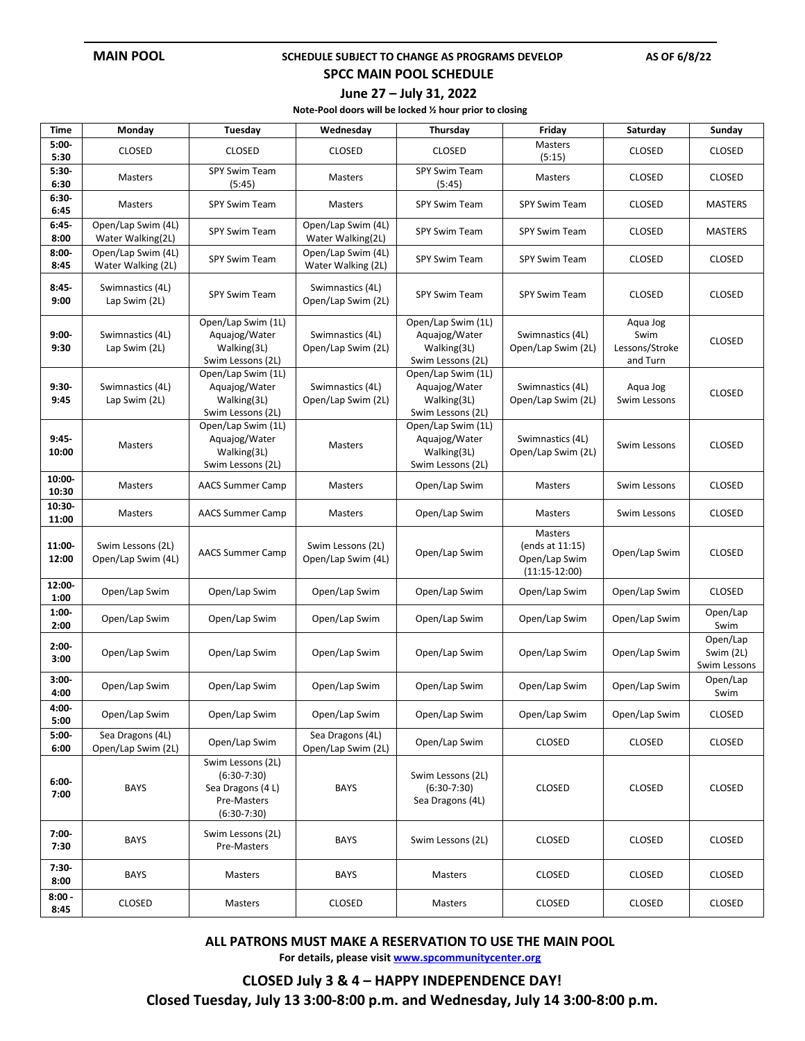### **MAIN POOL SCHEDULE SUBJECT TO CHANGE AS PROGRAMS DEVELOP** AS OF 6/8/22

## **SPCC MAIN POOL SCHEDULE**

### **June 27 – July 31, 2022**

**Note-Pool doors will be locked ½ hour prior to closing**

| Time               | Monday                                   | Tuesday                                                                                | Wednesday                                | Thursday                                                                | Friday                                                         | Saturday                                       | Sunday                                |
|--------------------|------------------------------------------|----------------------------------------------------------------------------------------|------------------------------------------|-------------------------------------------------------------------------|----------------------------------------------------------------|------------------------------------------------|---------------------------------------|
| $5:00-$<br>5:30    | <b>CLOSED</b>                            | <b>CLOSED</b>                                                                          | <b>CLOSED</b>                            | <b>CLOSED</b>                                                           | Masters<br>(5:15)                                              | <b>CLOSED</b>                                  | <b>CLOSED</b>                         |
| $5:30-$<br>6:30    | Masters                                  | SPY Swim Team<br>(5:45)                                                                | Masters                                  | SPY Swim Team<br>(5:45)                                                 | Masters                                                        | <b>CLOSED</b>                                  | <b>CLOSED</b>                         |
| $6:30-$<br>6:45    | Masters                                  | <b>SPY Swim Team</b>                                                                   | Masters                                  | SPY Swim Team                                                           | <b>SPY Swim Team</b>                                           | <b>CLOSED</b>                                  | <b>MASTERS</b>                        |
| $6:45-$<br>8:00    | Open/Lap Swim (4L)<br>Water Walking(2L)  | SPY Swim Team                                                                          | Open/Lap Swim (4L)<br>Water Walking(2L)  | SPY Swim Team                                                           | <b>SPY Swim Team</b>                                           | <b>CLOSED</b>                                  | <b>MASTERS</b>                        |
| $8:00 -$<br>8:45   | Open/Lap Swim (4L)<br>Water Walking (2L) | <b>SPY Swim Team</b>                                                                   | Open/Lap Swim (4L)<br>Water Walking (2L) | <b>SPY Swim Team</b>                                                    | <b>SPY Swim Team</b>                                           | <b>CLOSED</b>                                  | <b>CLOSED</b>                         |
| $8:45-$<br>9:00    | Swimnastics (4L)<br>Lap Swim (2L)        | <b>SPY Swim Team</b>                                                                   | Swimnastics (4L)<br>Open/Lap Swim (2L)   | <b>SPY Swim Team</b>                                                    | <b>SPY Swim Team</b>                                           | <b>CLOSED</b>                                  | <b>CLOSED</b>                         |
| $9:00-$<br>9:30    | Swimnastics (4L)<br>Lap Swim (2L)        | Open/Lap Swim (1L)<br>Aquajog/Water<br>Walking(3L)<br>Swim Lessons (2L)                | Swimnastics (4L)<br>Open/Lap Swim (2L)   | Open/Lap Swim (1L)<br>Aquajog/Water<br>Walking(3L)<br>Swim Lessons (2L) | Swimnastics (4L)<br>Open/Lap Swim (2L)                         | Aqua Jog<br>Swim<br>Lessons/Stroke<br>and Turn | <b>CLOSED</b>                         |
| $9:30-$<br>9:45    | Swimnastics (4L)<br>Lap Swim (2L)        | Open/Lap Swim (1L)<br>Aquajog/Water<br>Walking(3L)<br>Swim Lessons (2L)                | Swimnastics (4L)<br>Open/Lap Swim (2L)   | Open/Lap Swim (1L)<br>Aquajog/Water<br>Walking(3L)<br>Swim Lessons (2L) | Swimnastics (4L)<br>Open/Lap Swim (2L)                         | Aqua Jog<br>Swim Lessons                       | <b>CLOSED</b>                         |
| $9:45-$<br>10:00   | <b>Masters</b>                           | Open/Lap Swim (1L)<br>Aquajog/Water<br>Walking(3L)<br>Swim Lessons (2L)                | Masters                                  | Open/Lap Swim (1L)<br>Aquajog/Water<br>Walking(3L)<br>Swim Lessons (2L) | Swimnastics (4L)<br>Open/Lap Swim (2L)                         | Swim Lessons                                   | <b>CLOSED</b>                         |
| $10:00 -$<br>10:30 | Masters                                  | <b>AACS Summer Camp</b>                                                                | Masters                                  | Open/Lap Swim                                                           | Masters                                                        | Swim Lessons                                   | <b>CLOSED</b>                         |
| $10:30 -$<br>11:00 | Masters                                  | <b>AACS Summer Camp</b>                                                                | Masters                                  | Open/Lap Swim                                                           | Masters                                                        | Swim Lessons                                   | <b>CLOSED</b>                         |
| 11:00-<br>12:00    | Swim Lessons (2L)<br>Open/Lap Swim (4L)  | <b>AACS Summer Camp</b>                                                                | Swim Lessons (2L)<br>Open/Lap Swim (4L)  | Open/Lap Swim                                                           | Masters<br>(ends at 11:15)<br>Open/Lap Swim<br>$(11:15-12:00)$ | Open/Lap Swim                                  | <b>CLOSED</b>                         |
| 12:00-<br>1:00     | Open/Lap Swim                            | Open/Lap Swim                                                                          | Open/Lap Swim                            | Open/Lap Swim                                                           | Open/Lap Swim                                                  | Open/Lap Swim                                  | <b>CLOSED</b>                         |
| $1:00-$<br>2:00    | Open/Lap Swim                            | Open/Lap Swim                                                                          | Open/Lap Swim                            | Open/Lap Swim                                                           | Open/Lap Swim                                                  | Open/Lap Swim                                  | Open/Lap<br>Swim                      |
| $2:00-$<br>3:00    | Open/Lap Swim                            | Open/Lap Swim                                                                          | Open/Lap Swim                            | Open/Lap Swim                                                           | Open/Lap Swim                                                  | Open/Lap Swim                                  | Open/Lap<br>Swim (2L)<br>Swim Lessons |
| $3:00 -$<br>4:00   | Open/Lap Swim                            | Open/Lap Swim                                                                          | Open/Lap Swim                            | Open/Lap Swim                                                           | Open/Lap Swim                                                  | Open/Lap Swim                                  | Open/Lap<br>Swim                      |
| 4:00-<br>5:00      | Open/Lap Swim                            | Open/Lap Swim                                                                          | Open/Lap Swim                            | Open/Lap Swim                                                           | Open/Lap Swim                                                  | Open/Lap Swim                                  | <b>CLOSED</b>                         |
| $5:00 -$<br>6:00   | Sea Dragons (4L)<br>Open/Lap Swim (2L)   | Open/Lap Swim                                                                          | Sea Dragons (4L)<br>Open/Lap Swim (2L)   | Open/Lap Swim                                                           | <b>CLOSED</b>                                                  | <b>CLOSED</b>                                  | <b>CLOSED</b>                         |
| $6:00-$<br>7:00    | <b>BAYS</b>                              | Swim Lessons (2L)<br>$(6:30-7:30)$<br>Sea Dragons (4L)<br>Pre-Masters<br>$(6:30-7:30)$ | <b>BAYS</b>                              | Swim Lessons (2L)<br>$(6:30-7:30)$<br>Sea Dragons (4L)                  | <b>CLOSED</b>                                                  | <b>CLOSED</b>                                  | <b>CLOSED</b>                         |
| $7:00-$<br>7:30    | <b>BAYS</b>                              | Swim Lessons (2L)<br>Pre-Masters                                                       | <b>BAYS</b>                              | Swim Lessons (2L)                                                       | <b>CLOSED</b>                                                  | <b>CLOSED</b>                                  | <b>CLOSED</b>                         |
| $7:30-$<br>8:00    | <b>BAYS</b>                              | Masters                                                                                | <b>BAYS</b>                              | Masters                                                                 | <b>CLOSED</b>                                                  | <b>CLOSED</b>                                  | <b>CLOSED</b>                         |
| $8:00 -$<br>8:45   | <b>CLOSED</b>                            | Masters                                                                                | <b>CLOSED</b>                            | Masters                                                                 | <b>CLOSED</b>                                                  | <b>CLOSED</b>                                  | <b>CLOSED</b>                         |

**ALL PATRONS MUST MAKE A RESERVATION TO USE THE MAIN POOL**

**For details, please visi[t www.spcommunitycenter.org](http://www.spcommunitycenter.org/)**

**CLOSED July 3 & 4 – HAPPY INDEPENDENCE DAY! Closed Tuesday, July 13 3:00-8:00 p.m. and Wednesday, July 14 3:00-8:00 p.m.**